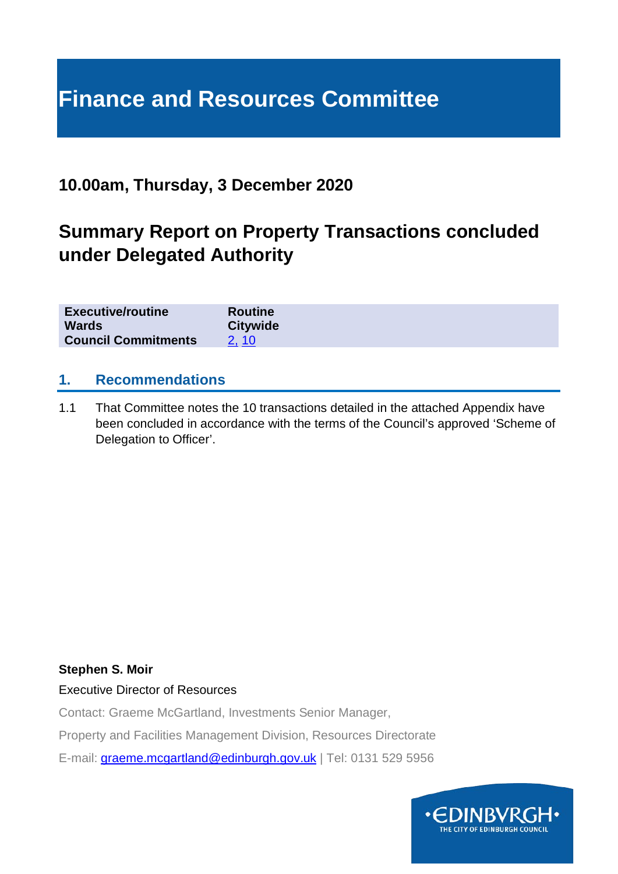# **Finance and Resources Committee**

## **10.00am, Thursday, 3 December 2020**

## **Summary Report on Property Transactions concluded under Delegated Authority**

| <b>Executive/routine</b><br><b>Wards</b><br><b>Council Commitments</b> | <b>Routine</b><br><b>Citywide</b> |
|------------------------------------------------------------------------|-----------------------------------|
|                                                                        |                                   |

## **1. Recommendations**

1.1 That Committee notes the 10 transactions detailed in the attached Appendix have been concluded in accordance with the terms of the Council's approved 'Scheme of Delegation to Officer'.

#### **Stephen S. Moir**

Executive Director of Resources

Contact: Graeme McGartland, Investments Senior Manager,

Property and Facilities Management Division, Resources Directorate

E-mail: [graeme.mcgartland@edinburgh.gov.uk](mailto:graeme.mcgartland@edinburgh.gov.uk) | Tel: 0131 529 5956

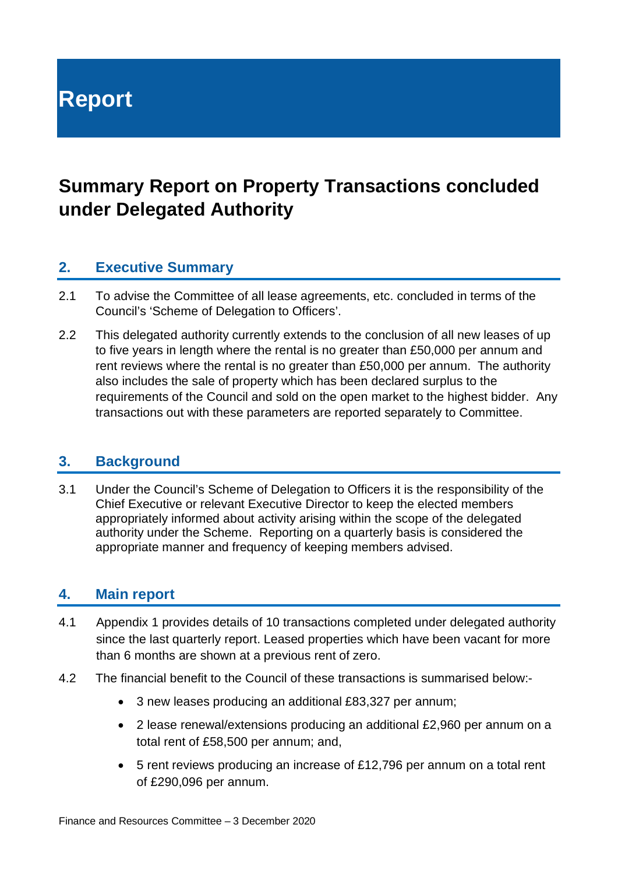**Report**

## **Summary Report on Property Transactions concluded under Delegated Authority**

## **2. Executive Summary**

- 2.1 To advise the Committee of all lease agreements, etc. concluded in terms of the Council's 'Scheme of Delegation to Officers'.
- 2.2 This delegated authority currently extends to the conclusion of all new leases of up to five years in length where the rental is no greater than £50,000 per annum and rent reviews where the rental is no greater than £50,000 per annum. The authority also includes the sale of property which has been declared surplus to the requirements of the Council and sold on the open market to the highest bidder. Any transactions out with these parameters are reported separately to Committee.

#### **3. Background**

3.1 Under the Council's Scheme of Delegation to Officers it is the responsibility of the Chief Executive or relevant Executive Director to keep the elected members appropriately informed about activity arising within the scope of the delegated authority under the Scheme. Reporting on a quarterly basis is considered the appropriate manner and frequency of keeping members advised.

## **4. Main report**

- 4.1 Appendix 1 provides details of 10 transactions completed under delegated authority since the last quarterly report. Leased properties which have been vacant for more than 6 months are shown at a previous rent of zero.
- 4.2 The financial benefit to the Council of these transactions is summarised below:-
	- 3 new leases producing an additional £83,327 per annum;
	- 2 lease renewal/extensions producing an additional £2,960 per annum on a total rent of £58,500 per annum; and,
	- 5 rent reviews producing an increase of £12,796 per annum on a total rent of £290,096 per annum.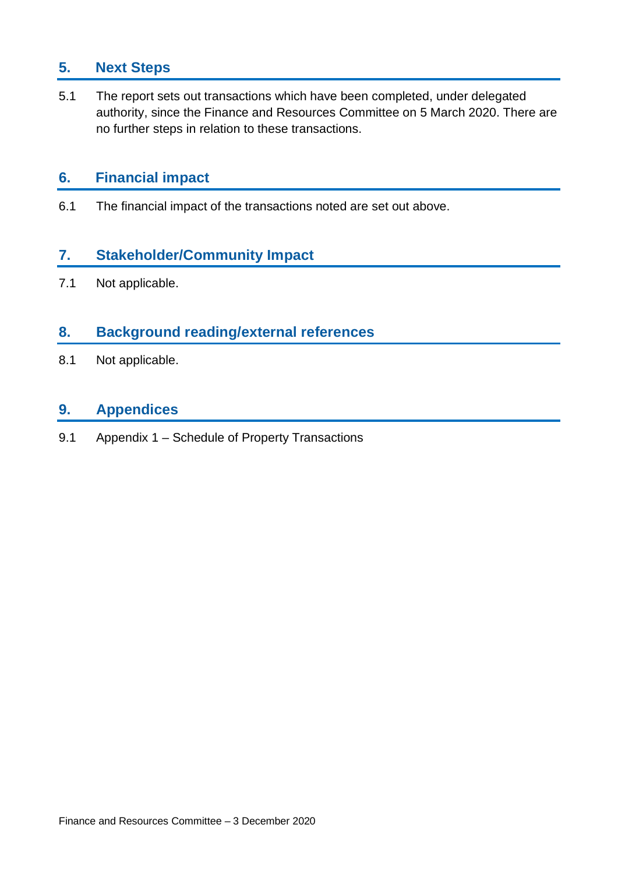## **5. Next Steps**

5.1 The report sets out transactions which have been completed, under delegated authority, since the Finance and Resources Committee on 5 March 2020. There are no further steps in relation to these transactions.

## **6. Financial impact**

6.1 The financial impact of the transactions noted are set out above.

## **7. Stakeholder/Community Impact**

7.1 Not applicable.

## **8. Background reading/external references**

8.1 Not applicable.

## **9. Appendices**

9.1 Appendix 1 – Schedule of Property Transactions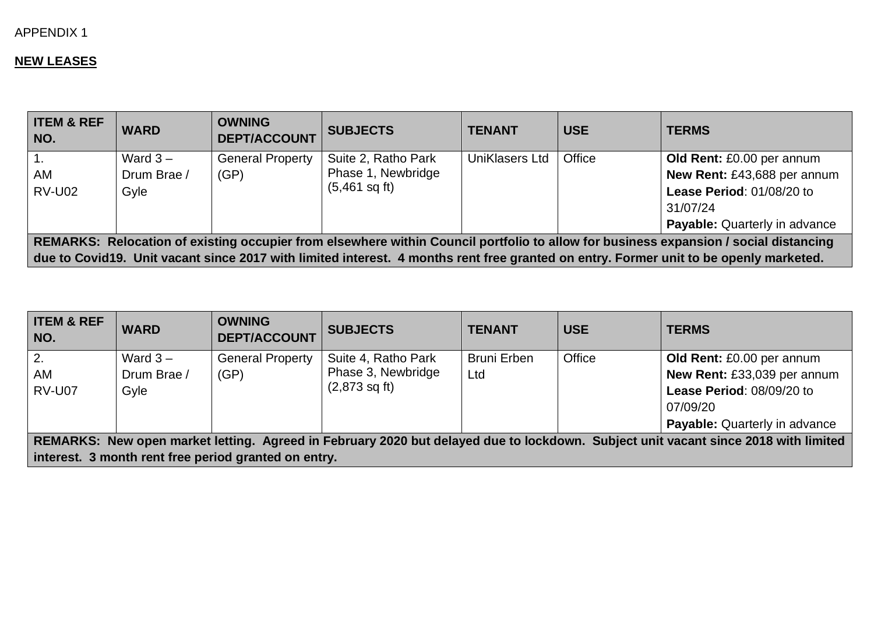#### APPENDIX 1

#### **NEW LEASES**

| <b>ITEM &amp; REF</b><br>NO.                                                                                                         | <b>WARD</b> | <b>OWNING</b><br><b>DEPT/ACCOUNT</b> | <b>SUBJECTS</b>         | <b>TENANT</b>  | <b>USE</b> | <b>TERMS</b>                                                                                                                          |  |  |
|--------------------------------------------------------------------------------------------------------------------------------------|-------------|--------------------------------------|-------------------------|----------------|------------|---------------------------------------------------------------------------------------------------------------------------------------|--|--|
|                                                                                                                                      | Ward $3-$   | <b>General Property</b>              | Suite 2, Ratho Park     | UniKlasers Ltd | Office     | Old Rent: £0.00 per annum                                                                                                             |  |  |
| AM                                                                                                                                   | Drum Brae / | (GP)                                 | Phase 1, Newbridge      |                |            | New Rent: £43,688 per annum                                                                                                           |  |  |
| <b>RV-U02</b>                                                                                                                        | Gyle        |                                      | $(5,461 \text{ sq ft})$ |                |            | Lease Period: 01/08/20 to                                                                                                             |  |  |
|                                                                                                                                      |             |                                      |                         |                |            | 31/07/24                                                                                                                              |  |  |
|                                                                                                                                      |             |                                      |                         |                |            | <b>Payable:</b> Quarterly in advance                                                                                                  |  |  |
| REMARKS: Relocation of existing occupier from elsewhere within Council portfolio to allow for business expansion / social distancing |             |                                      |                         |                |            |                                                                                                                                       |  |  |
|                                                                                                                                      |             |                                      |                         |                |            | due to Covid19. Unit vacant since 2017 with limited interest. 4 months rent free granted on entry. Former unit to be openly marketed. |  |  |

| <b>ITEM &amp; REF</b><br>NO.                                                                                                       | <b>WARD</b> | <b>OWNING</b><br><b>DEPT/ACCOUNT</b>                 | <b>SUBJECTS</b>         | <b>TENANT</b>      | <b>USE</b> | <b>TERMS</b>                         |  |  |  |
|------------------------------------------------------------------------------------------------------------------------------------|-------------|------------------------------------------------------|-------------------------|--------------------|------------|--------------------------------------|--|--|--|
| <sup>2.</sup>                                                                                                                      | Ward $3 -$  | <b>General Property</b>                              | Suite 4, Ratho Park     | <b>Bruni Erben</b> | Office     | Old Rent: £0.00 per annum            |  |  |  |
| AM                                                                                                                                 | Drum Brae / | (GP)                                                 | Phase 3, Newbridge      | Ltd                |            | New Rent: £33,039 per annum          |  |  |  |
| <b>RV-U07</b>                                                                                                                      | Gyle        |                                                      | $(2,873 \text{ sq ft})$ |                    |            | Lease Period: 08/09/20 to            |  |  |  |
|                                                                                                                                    |             |                                                      |                         |                    |            | 07/09/20                             |  |  |  |
|                                                                                                                                    |             |                                                      |                         |                    |            | <b>Payable:</b> Quarterly in advance |  |  |  |
| REMARKS: New open market letting. Agreed in February 2020 but delayed due to lockdown. Subject unit vacant since 2018 with limited |             |                                                      |                         |                    |            |                                      |  |  |  |
|                                                                                                                                    |             | interest. 3 month rent free period granted on entry. |                         |                    |            |                                      |  |  |  |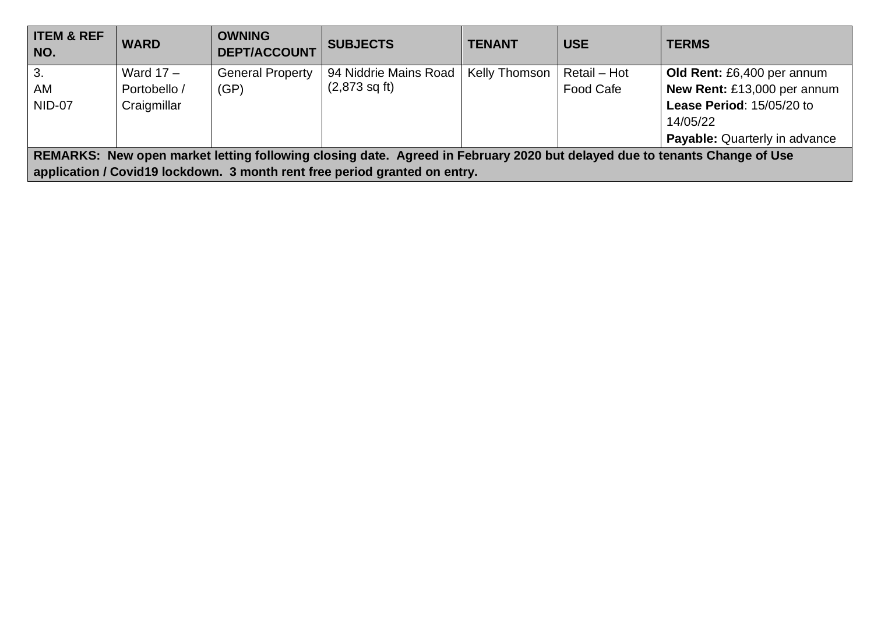| <b>ITEM &amp; REF</b><br>NO.                                                                                              | <b>WARD</b>  | <b>OWNING</b><br><b>DEPT/ACCOUNT</b> | <b>SUBJECTS</b>                                                            | <b>TENANT</b> | <b>USE</b>   | <b>TERMS</b>                  |  |  |
|---------------------------------------------------------------------------------------------------------------------------|--------------|--------------------------------------|----------------------------------------------------------------------------|---------------|--------------|-------------------------------|--|--|
| 3.                                                                                                                        | Ward $17 -$  | <b>General Property</b>              | 94 Niddrie Mains Road                                                      | Kelly Thomson | Retail - Hot | Old Rent: £6,400 per annum    |  |  |
| AM                                                                                                                        | Portobello / | (GP)                                 | $(2,873 \text{ sq ft})$                                                    |               | Food Cafe    | New Rent: £13,000 per annum   |  |  |
| <b>NID-07</b>                                                                                                             | Craigmillar  |                                      |                                                                            |               |              | Lease Period: 15/05/20 to     |  |  |
|                                                                                                                           |              |                                      |                                                                            |               |              | 14/05/22                      |  |  |
|                                                                                                                           |              |                                      |                                                                            |               |              | Payable: Quarterly in advance |  |  |
| REMARKS: New open market letting following closing date. Agreed in February 2020 but delayed due to tenants Change of Use |              |                                      |                                                                            |               |              |                               |  |  |
|                                                                                                                           |              |                                      | application / Covid19 lockdown. 3 month rent free period granted on entry. |               |              |                               |  |  |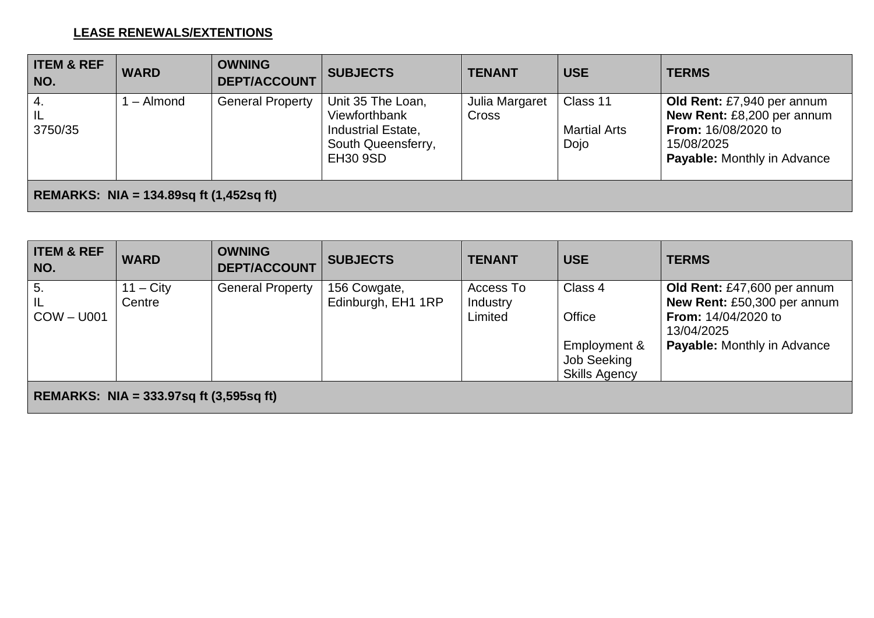#### **LEASE RENEWALS/EXTENTIONS**

| <b>ITEM &amp; REF</b><br>NO.                   | <b>WARD</b> | <b>OWNING</b><br><b>DEPT/ACCOUNT</b> | <b>SUBJECTS</b>                                                                                   | <b>TENANT</b>                  | <b>USE</b>                              | <b>TERMS</b>                                                                                                                               |  |  |
|------------------------------------------------|-------------|--------------------------------------|---------------------------------------------------------------------------------------------------|--------------------------------|-----------------------------------------|--------------------------------------------------------------------------------------------------------------------------------------------|--|--|
| $\overline{4}$ .<br> L <br>3750/35             | – Almond    | <b>General Property</b>              | Unit 35 The Loan,<br>Viewforthbank<br>Industrial Estate,<br>South Queensferry,<br><b>EH30 9SD</b> | Julia Margaret<br><b>Cross</b> | Class 11<br><b>Martial Arts</b><br>Dojo | Old Rent: £7,940 per annum<br>New Rent: £8,200 per annum<br><b>From: 16/08/2020 to</b><br>15/08/2025<br><b>Payable:</b> Monthly in Advance |  |  |
| <b>REMARKS: NIA = 134.89sq ft (1,452sq ft)</b> |             |                                      |                                                                                                   |                                |                                         |                                                                                                                                            |  |  |

| <b>ITEM &amp; REF</b><br>NO.                  | <b>WARD</b>           | <b>OWNING</b><br><b>DEPT/ACCOUNT</b> | <b>SUBJECTS</b>                    | <b>TENANT</b>                    | <b>USE</b>                                                               | <b>TERMS</b>                                                                                                                                 |  |  |
|-----------------------------------------------|-----------------------|--------------------------------------|------------------------------------|----------------------------------|--------------------------------------------------------------------------|----------------------------------------------------------------------------------------------------------------------------------------------|--|--|
| 5.<br>IL<br>  COW – U001                      | $11 - City$<br>Centre | <b>General Property</b>              | 156 Cowgate,<br>Edinburgh, EH1 1RP | Access To<br>Industry<br>Limited | Class 4<br>Office<br>Employment &<br>Job Seeking<br><b>Skills Agency</b> | Old Rent: £47,600 per annum<br>New Rent: £50,300 per annum<br><b>From: 14/04/2020 to</b><br>13/04/2025<br><b>Payable:</b> Monthly in Advance |  |  |
| REMARKS: NIA = $333.97$ sq ft $(3,595$ sq ft) |                       |                                      |                                    |                                  |                                                                          |                                                                                                                                              |  |  |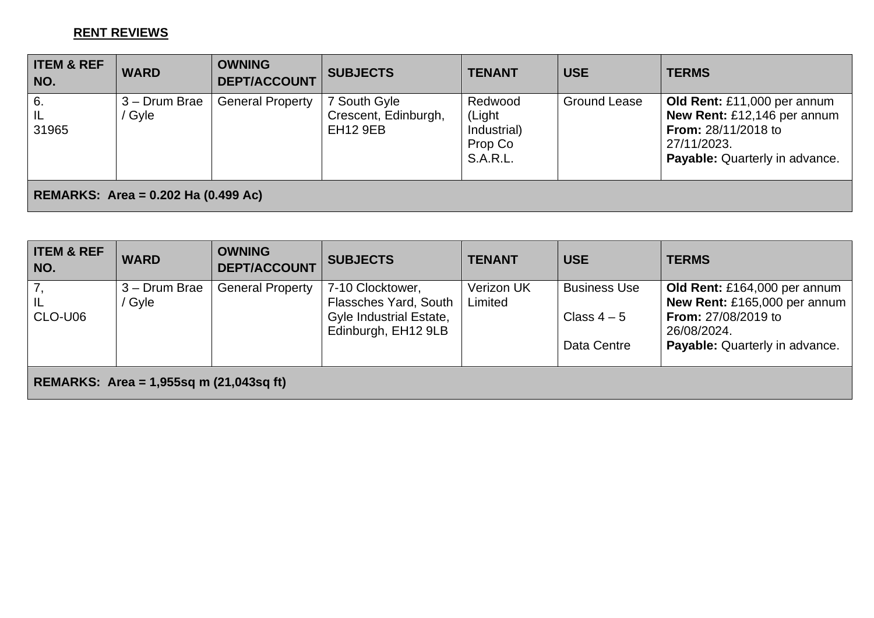#### **RENT REVIEWS**

| <b>ITEM &amp; REF</b><br>NO.               | <b>WARD</b>   | <b>OWNING</b><br><b>DEPT/ACCOUNT</b> | <b>SUBJECTS</b>                         | <b>TENANT</b>                                       | <b>USE</b>          | <b>TERMS</b>                                                                                        |  |  |
|--------------------------------------------|---------------|--------------------------------------|-----------------------------------------|-----------------------------------------------------|---------------------|-----------------------------------------------------------------------------------------------------|--|--|
| 6.                                         | 3 – Drum Brae | <b>General Property</b>              | 7 South Gyle                            | Redwood                                             | <b>Ground Lease</b> | Old Rent: £11,000 per annum                                                                         |  |  |
| L <br>31965                                | Gyle          |                                      | Crescent, Edinburgh,<br><b>EH12 9EB</b> | (Light<br>Industrial)<br>Prop Co<br><b>S.A.R.L.</b> |                     | New Rent: £12,146 per annum<br>From: 28/11/2018 to<br>27/11/2023.<br>Payable: Quarterly in advance. |  |  |
| <b>REMARKS: Area = 0.202 Ha (0.499 Ac)</b> |               |                                      |                                         |                                                     |                     |                                                                                                     |  |  |

| <b>WARD</b>                               | <b>OWNING</b><br><b>DEPT/ACCOUNT</b> | <b>SUBJECTS</b>  | <b>TENANT</b>                                                                         | <b>USE</b>          | <b>TERMS</b>                              |  |  |  |  |
|-------------------------------------------|--------------------------------------|------------------|---------------------------------------------------------------------------------------|---------------------|-------------------------------------------|--|--|--|--|
| 3 – Drum Brae                             | <b>General Property</b>              | 7-10 Clocktower, | <b>Verizon UK</b>                                                                     | <b>Business Use</b> | Old Rent: £164,000 per annum              |  |  |  |  |
|                                           |                                      |                  |                                                                                       |                     | New Rent: £165,000 per annum              |  |  |  |  |
|                                           |                                      |                  |                                                                                       |                     | <b>From: 27/08/2019 to</b><br>26/08/2024. |  |  |  |  |
|                                           |                                      |                  |                                                                                       | Data Centre         | Payable: Quarterly in advance.            |  |  |  |  |
| REMARKS: Area = 1,955sq m $(21,043sq$ ft) |                                      |                  |                                                                                       |                     |                                           |  |  |  |  |
|                                           | Gyle                                 |                  | <b>Flassches Yard, South</b><br><b>Gyle Industrial Estate,</b><br>Edinburgh, EH12 9LB | Limited             | Class $4-5$                               |  |  |  |  |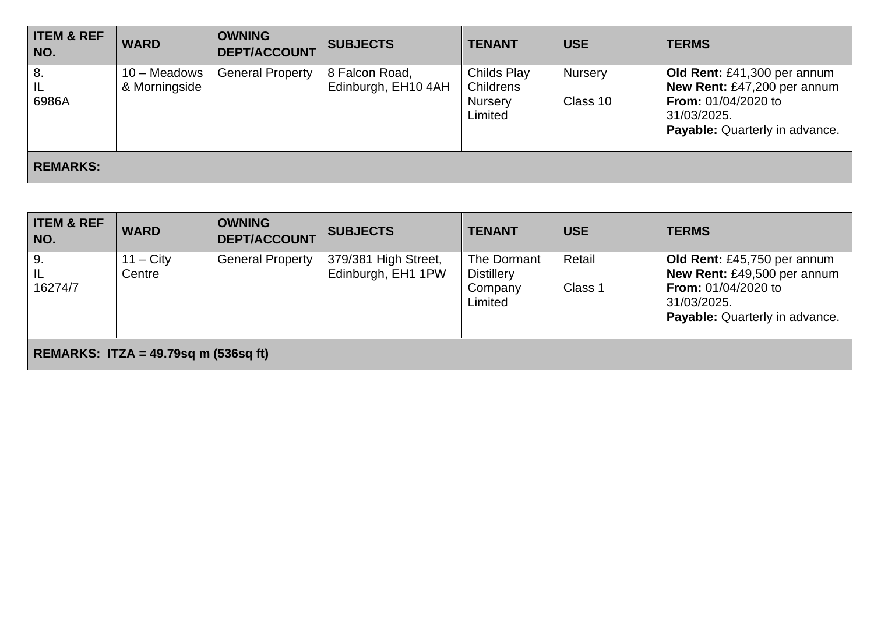| <b>ITEM &amp; REF</b><br>NO. | <b>WARD</b>                   | <b>OWNING</b><br><b>DEPT/ACCOUNT</b> | <b>SUBJECTS</b>                       | <b>TENANT</b>                                                | <b>USE</b>                 | <b>TERMS</b>                                                                                                                                     |
|------------------------------|-------------------------------|--------------------------------------|---------------------------------------|--------------------------------------------------------------|----------------------------|--------------------------------------------------------------------------------------------------------------------------------------------------|
| 8.<br>IL<br>6986A            | 10 - Meadows<br>& Morningside | <b>General Property</b>              | 8 Falcon Road,<br>Edinburgh, EH10 4AH | <b>Childs Play</b><br>Childrens<br><b>Nursery</b><br>Limited | <b>Nursery</b><br>Class 10 | Old Rent: £41,300 per annum<br>New Rent: £47,200 per annum<br><b>From:</b> 01/04/2020 to<br>31/03/2025.<br><b>Payable:</b> Quarterly in advance. |
| <b>REMARKS:</b>              |                               |                                      |                                       |                                                              |                            |                                                                                                                                                  |

| <b>ITEM &amp; REF</b><br>NO.            | <b>WARD</b>           | <b>OWNING</b><br><b>DEPT/ACCOUNT</b> | <b>SUBJECTS</b>                            | <b>TENANT</b>                                          | <b>USE</b>        | <b>TERMS</b>                                                                                                                              |  |  |
|-----------------------------------------|-----------------------|--------------------------------------|--------------------------------------------|--------------------------------------------------------|-------------------|-------------------------------------------------------------------------------------------------------------------------------------------|--|--|
| 9.<br>IL<br>16274/7                     | $11 - City$<br>Centre | <b>General Property</b>              | 379/381 High Street,<br>Edinburgh, EH1 1PW | The Dormant<br><b>Distillery</b><br>Company<br>Limited | Retail<br>Class 1 | Old Rent: £45,750 per annum<br>New Rent: £49,500 per annum<br><b>From: 01/04/2020 to</b><br>31/03/2025.<br>Payable: Quarterly in advance. |  |  |
| REMARKS: ITZA = $49.79$ sq m (536sq ft) |                       |                                      |                                            |                                                        |                   |                                                                                                                                           |  |  |